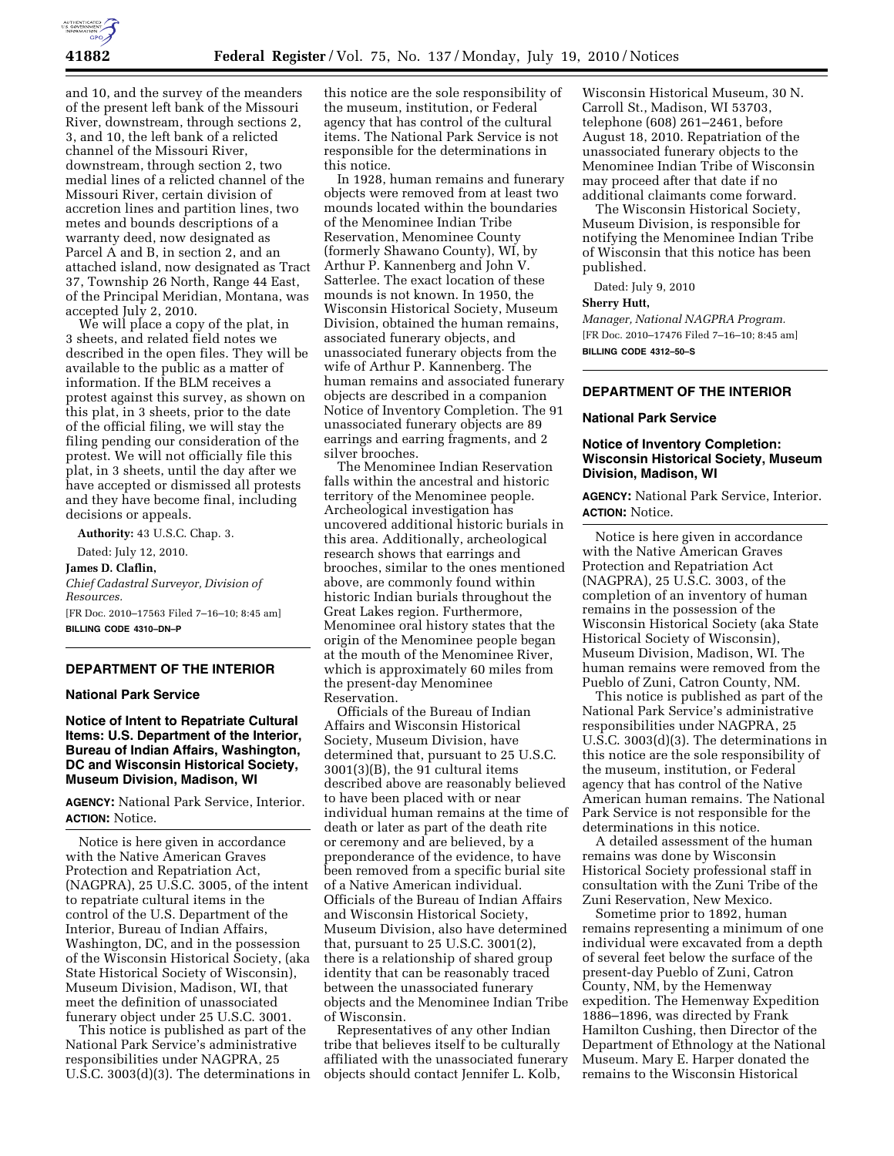

and 10, and the survey of the meanders of the present left bank of the Missouri River, downstream, through sections 2, 3, and 10, the left bank of a relicted channel of the Missouri River, downstream, through section 2, two medial lines of a relicted channel of the Missouri River, certain division of accretion lines and partition lines, two metes and bounds descriptions of a warranty deed, now designated as Parcel A and B, in section 2, and an attached island, now designated as Tract 37, Township 26 North, Range 44 East, of the Principal Meridian, Montana, was accepted July 2, 2010.

We will place a copy of the plat, in 3 sheets, and related field notes we described in the open files. They will be available to the public as a matter of information. If the BLM receives a protest against this survey, as shown on this plat, in 3 sheets, prior to the date of the official filing, we will stay the filing pending our consideration of the protest. We will not officially file this plat, in 3 sheets, until the day after we have accepted or dismissed all protests and they have become final, including decisions or appeals.

**Authority:** 43 U.S.C. Chap. 3.

Dated: July 12, 2010. **James D. Claflin,**  *Chief Cadastral Surveyor, Division of Resources.*  [FR Doc. 2010–17563 Filed 7–16–10; 8:45 am]

**BILLING CODE 4310–DN–P** 

## **DEPARTMENT OF THE INTERIOR**

### **National Park Service**

**Notice of Intent to Repatriate Cultural Items: U.S. Department of the Interior, Bureau of Indian Affairs, Washington, DC and Wisconsin Historical Society, Museum Division, Madison, WI** 

**AGENCY:** National Park Service, Interior. **ACTION:** Notice.

Notice is here given in accordance with the Native American Graves Protection and Repatriation Act, (NAGPRA), 25 U.S.C. 3005, of the intent to repatriate cultural items in the control of the U.S. Department of the Interior, Bureau of Indian Affairs, Washington, DC, and in the possession of the Wisconsin Historical Society, (aka State Historical Society of Wisconsin), Museum Division, Madison, WI, that meet the definition of unassociated funerary object under 25 U.S.C. 3001.

This notice is published as part of the National Park Service's administrative responsibilities under NAGPRA, 25 U.S.C. 3003(d)(3). The determinations in this notice are the sole responsibility of the museum, institution, or Federal agency that has control of the cultural items. The National Park Service is not responsible for the determinations in this notice.

In 1928, human remains and funerary objects were removed from at least two mounds located within the boundaries of the Menominee Indian Tribe Reservation, Menominee County (formerly Shawano County), WI, by Arthur P. Kannenberg and John V. Satterlee. The exact location of these mounds is not known. In 1950, the Wisconsin Historical Society, Museum Division, obtained the human remains, associated funerary objects, and unassociated funerary objects from the wife of Arthur P. Kannenberg. The human remains and associated funerary objects are described in a companion Notice of Inventory Completion. The 91 unassociated funerary objects are 89 earrings and earring fragments, and 2 silver brooches.

The Menominee Indian Reservation falls within the ancestral and historic territory of the Menominee people. Archeological investigation has uncovered additional historic burials in this area. Additionally, archeological research shows that earrings and brooches, similar to the ones mentioned above, are commonly found within historic Indian burials throughout the Great Lakes region. Furthermore, Menominee oral history states that the origin of the Menominee people began at the mouth of the Menominee River, which is approximately 60 miles from the present-day Menominee Reservation.

Officials of the Bureau of Indian Affairs and Wisconsin Historical Society, Museum Division, have determined that, pursuant to 25 U.S.C. 3001(3)(B), the 91 cultural items described above are reasonably believed to have been placed with or near individual human remains at the time of death or later as part of the death rite or ceremony and are believed, by a preponderance of the evidence, to have been removed from a specific burial site of a Native American individual. Officials of the Bureau of Indian Affairs and Wisconsin Historical Society, Museum Division, also have determined that, pursuant to 25 U.S.C. 3001(2), there is a relationship of shared group identity that can be reasonably traced between the unassociated funerary objects and the Menominee Indian Tribe of Wisconsin.

Representatives of any other Indian tribe that believes itself to be culturally affiliated with the unassociated funerary objects should contact Jennifer L. Kolb,

Wisconsin Historical Museum, 30 N. Carroll St., Madison, WI 53703, telephone (608) 261–2461, before August 18, 2010. Repatriation of the unassociated funerary objects to the Menominee Indian Tribe of Wisconsin may proceed after that date if no additional claimants come forward.

The Wisconsin Historical Society, Museum Division, is responsible for notifying the Menominee Indian Tribe of Wisconsin that this notice has been published.

Dated: July 9, 2010

#### **Sherry Hutt,**

*Manager, National NAGPRA Program.*  [FR Doc. 2010–17476 Filed 7–16–10; 8:45 am] **BILLING CODE 4312–50–S** 

# **DEPARTMENT OF THE INTERIOR**

#### **National Park Service**

# **Notice of Inventory Completion: Wisconsin Historical Society, Museum Division, Madison, WI**

**AGENCY:** National Park Service, Interior. **ACTION:** Notice.

Notice is here given in accordance with the Native American Graves Protection and Repatriation Act (NAGPRA), 25 U.S.C. 3003, of the completion of an inventory of human remains in the possession of the Wisconsin Historical Society (aka State Historical Society of Wisconsin), Museum Division, Madison, WI. The human remains were removed from the Pueblo of Zuni, Catron County, NM.

This notice is published as part of the National Park Service's administrative responsibilities under NAGPRA, 25 U.S.C. 3003(d)(3). The determinations in this notice are the sole responsibility of the museum, institution, or Federal agency that has control of the Native American human remains. The National Park Service is not responsible for the determinations in this notice.

A detailed assessment of the human remains was done by Wisconsin Historical Society professional staff in consultation with the Zuni Tribe of the Zuni Reservation, New Mexico.

Sometime prior to 1892, human remains representing a minimum of one individual were excavated from a depth of several feet below the surface of the present-day Pueblo of Zuni, Catron County, NM, by the Hemenway expedition. The Hemenway Expedition 1886–1896, was directed by Frank Hamilton Cushing, then Director of the Department of Ethnology at the National Museum. Mary E. Harper donated the remains to the Wisconsin Historical